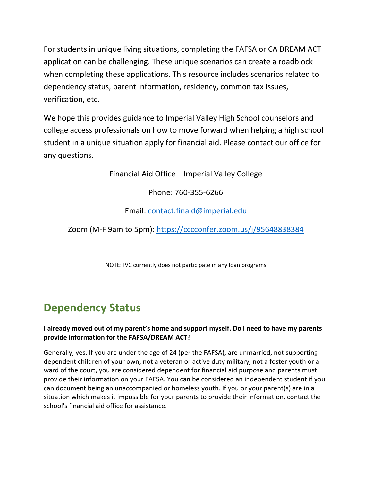For students in unique living situations, completing the FAFSA or CA DREAM ACT application can be challenging. These unique scenarios can create a roadblock when completing these applications. This resource includes scenarios related to dependency status, parent Information, residency, common tax issues, verification, etc.

We hope this provides guidance to Imperial Valley High School counselors and college access professionals on how to move forward when helping a high school student in a unique situation apply for financial aid. Please contact our office for any questions.

Financial Aid Office – Imperial Valley College

Phone: 760-355-6266

Email: [contact.finaid@imperial.edu](mailto:contact.finaid@imperial.edu)

Zoom (M-F 9am to 5pm):<https://cccconfer.zoom.us/j/95648838384>

NOTE: IVC currently does not participate in any loan programs

# **Dependency Status**

### **I already moved out of my parent's home and support myself. Do I need to have my parents provide information for the FAFSA/DREAM ACT?**

Generally, yes. If you are under the age of 24 (per the FAFSA), are unmarried, not supporting dependent children of your own, not a veteran or active duty military, not a foster youth or a ward of the court, you are considered dependent for financial aid purpose and parents must provide their information on your FAFSA. You can be considered an independent student if you can document being an unaccompanied or homeless youth. If you or your parent(s) are in a situation which makes it impossible for your parents to provide their information, contact the school's financial aid office for assistance.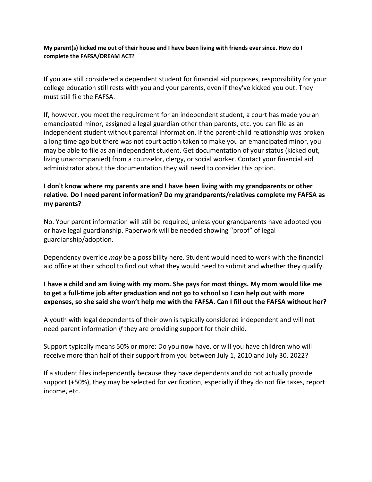#### **My parent(s) kicked me out of their house and I have been living with friends ever since. How do I complete the FAFSA/DREAM ACT?**

If you are still considered a dependent student for financial aid purposes, responsibility for your college education still rests with you and your parents, even if they've kicked you out. They must still file the FAFSA.

If, however, you meet the requirement for an independent student, a court has made you an emancipated minor, assigned a legal guardian other than parents, etc. you can file as an independent student without parental information. If the parent-child relationship was broken a long time ago but there was not court action taken to make you an emancipated minor, you may be able to file as an independent student. Get documentation of your status (kicked out, living unaccompanied) from a counselor, clergy, or social worker. Contact your financial aid administrator about the documentation they will need to consider this option.

### **I don't know where my parents are and I have been living with my grandparents or other relative. Do I need parent information? Do my grandparents/relatives complete my FAFSA as my parents?**

No. Your parent information will still be required, unless your grandparents have adopted you or have legal guardianship. Paperwork will be needed showing "proof" of legal guardianship/adoption.

Dependency override *may* be a possibility here. Student would need to work with the financial aid office at their school to find out what they would need to submit and whether they qualify.

### **I have a child and am living with my mom. She pays for most things. My mom would like me to get a full-time job after graduation and not go to school so I can help out with more expenses, so she said she won't help me with the FAFSA. Can I fill out the FAFSA without her?**

A youth with legal dependents of their own is typically considered independent and will not need parent information *if* they are providing support for their child.

Support typically means 50% or more: Do you now have, or will you have children who will receive more than half of their support from you between July 1, 2010 and July 30, 2022?

If a student files independently because they have dependents and do not actually provide support (+50%), they may be selected for verification, especially if they do not file taxes, report income, etc.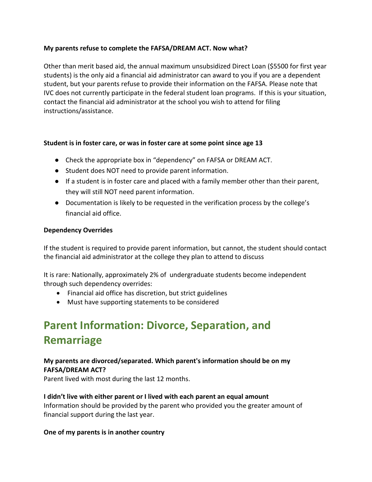#### **My parents refuse to complete the FAFSA/DREAM ACT. Now what?**

Other than merit based aid, the annual maximum unsubsidized Direct Loan (\$5500 for first year students) is the only aid a financial aid administrator can award to you if you are a dependent student, but your parents refuse to provide their information on the FAFSA. Please note that IVC does not currently participate in the federal student loan programs. If this is your situation, contact the financial aid administrator at the school you wish to attend for filing instructions/assistance.

#### **Student is in foster care, or was in foster care at some point since age 13**

- Check the appropriate box in "dependency" on FAFSA or DREAM ACT.
- Student does NOT need to provide parent information.
- If a student is in foster care and placed with a family member other than their parent, they will still NOT need parent information.
- Documentation is likely to be requested in the verification process by the college's financial aid office.

#### **Dependency Overrides**

If the student is required to provide parent information, but cannot, the student should contact the financial aid administrator at the college they plan to attend to discuss

It is rare: Nationally, approximately 2% of undergraduate students become independent through such dependency overrides:

- Financial aid office has discretion, but strict guidelines
- Must have supporting statements to be considered

# **Parent Information: Divorce, Separation, and Remarriage**

#### **My parents are divorced/separated. Which parent's information should be on my FAFSA/DREAM ACT?**

Parent lived with most during the last 12 months.

#### **I didn't live with either parent or I lived with each parent an equal amount**

Information should be provided by the parent who provided you the greater amount of financial support during the last year.

#### **One of my parents is in another country**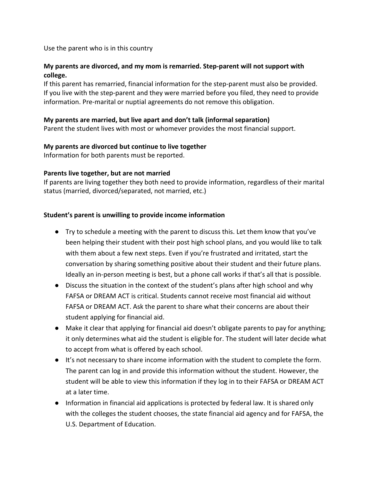Use the parent who is in this country

### **My parents are divorced, and my mom is remarried. Step-parent will not support with college.**

If this parent has remarried, financial information for the step-parent must also be provided. If you live with the step-parent and they were married before you filed, they need to provide information. Pre-marital or nuptial agreements do not remove this obligation.

#### **My parents are married, but live apart and don't talk (informal separation)**

Parent the student lives with most or whomever provides the most financial support.

#### **My parents are divorced but continue to live together**

Information for both parents must be reported.

#### **Parents live together, but are not married**

If parents are living together they both need to provide information, regardless of their marital status (married, divorced/separated, not married, etc.)

#### **Student's parent is unwilling to provide income information**

- Try to schedule a meeting with the parent to discuss this. Let them know that you've been helping their student with their post high school plans, and you would like to talk with them about a few next steps. Even if you're frustrated and irritated, start the conversation by sharing something positive about their student and their future plans. Ideally an in-person meeting is best, but a phone call works if that's all that is possible.
- Discuss the situation in the context of the student's plans after high school and why FAFSA or DREAM ACT is critical. Students cannot receive most financial aid without FAFSA or DREAM ACT. Ask the parent to share what their concerns are about their student applying for financial aid.
- Make it clear that applying for financial aid doesn't obligate parents to pay for anything; it only determines what aid the student is eligible for. The student will later decide what to accept from what is offered by each school.
- It's not necessary to share income information with the student to complete the form. The parent can log in and provide this information without the student. However, the student will be able to view this information if they log in to their FAFSA or DREAM ACT at a later time.
- Information in financial aid applications is protected by federal law. It is shared only with the colleges the student chooses, the state financial aid agency and for FAFSA, the U.S. Department of Education.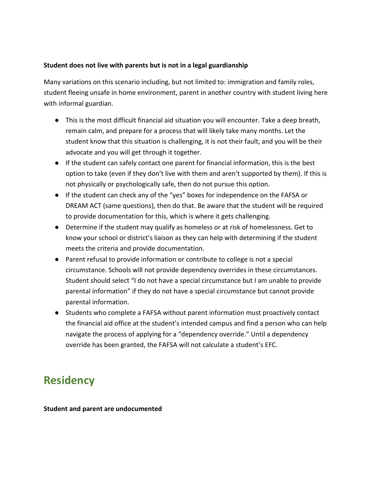#### **Student does not live with parents but is not in a legal guardianship**

Many variations on this scenario including, but not limited to: immigration and family roles, student fleeing unsafe in home environment, parent in another country with student living here with informal guardian.

- This is the most difficult financial aid situation you will encounter. Take a deep breath, remain calm, and prepare for a process that will likely take many months. Let the student know that this situation is challenging, it is not their fault, and you will be their advocate and you will get through it together.
- If the student can safely contact one parent for financial information, this is the best option to take (even if they don't live with them and aren't supported by them). If this is not physically or psychologically safe, then do not pursue this option.
- If the student can check any of the "yes" boxes for independence on the FAFSA or DREAM ACT (same questions), then do that. Be aware that the student will be required to provide documentation for this, which is where it gets challenging.
- Determine if the student may qualify as homeless or at risk of homelessness. Get to know your school or district's liaison as they can help with determining if the student meets the criteria and provide documentation.
- Parent refusal to provide information or contribute to college is not a special circumstance. Schools will not provide dependency overrides in these circumstances. Student should select "I do not have a special circumstance but I am unable to provide parental information" if they do not have a special circumstance but cannot provide parental information.
- Students who complete a FAFSA without parent information must proactively contact the financial aid office at the student's intended campus and find a person who can help navigate the process of applying for a "dependency override." Until a dependency override has been granted, the FAFSA will not calculate a student's EFC.

## **Residency**

#### **Student and parent are undocumented**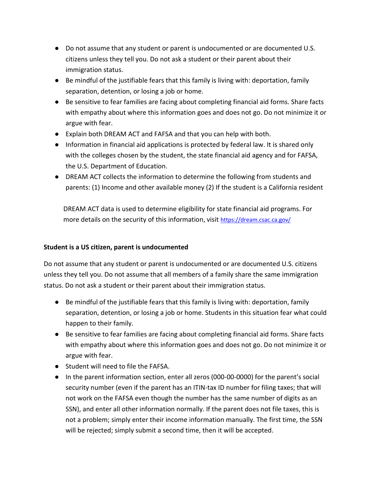- Do not assume that any student or parent is undocumented or are documented U.S. citizens unless they tell you. Do not ask a student or their parent about their immigration status.
- Be mindful of the justifiable fears that this family is living with: deportation, family separation, detention, or losing a job or home.
- Be sensitive to fear families are facing about completing financial aid forms. Share facts with empathy about where this information goes and does not go. Do not minimize it or argue with fear.
- Explain both DREAM ACT and FAFSA and that you can help with both.
- Information in financial aid applications is protected by federal law. It is shared only with the colleges chosen by the student, the state financial aid agency and for FAFSA, the U.S. Department of Education.
- DREAM ACT collects the information to determine the following from students and parents: (1) Income and other available money (2) If the student is a California resident

DREAM ACT data is used to determine eligibility for state financial aid programs. For more details on the security of this information, visit<https://dream.csac.ca.gov/>

#### **Student is a US citizen, parent is undocumented**

Do not assume that any student or parent is undocumented or are documented U.S. citizens unless they tell you. Do not assume that all members of a family share the same immigration status. Do not ask a student or their parent about their immigration status.

- Be mindful of the justifiable fears that this family is living with: deportation, family separation, detention, or losing a job or home. Students in this situation fear what could happen to their family.
- Be sensitive to fear families are facing about completing financial aid forms. Share facts with empathy about where this information goes and does not go. Do not minimize it or argue with fear.
- Student will need to file the FAFSA.
- In the parent information section, enter all zeros (000-00-0000) for the parent's social security number (even if the parent has an ITIN-tax ID number for filing taxes; that will not work on the FAFSA even though the number has the same number of digits as an SSN), and enter all other information normally. If the parent does not file taxes, this is not a problem; simply enter their income information manually. The first time, the SSN will be rejected; simply submit a second time, then it will be accepted.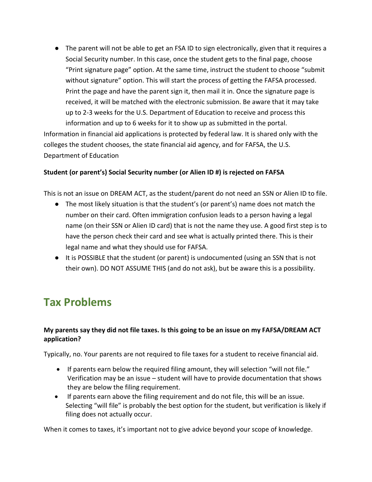● The parent will not be able to get an FSA ID to sign electronically, given that it requires a Social Security number. In this case, once the student gets to the final page, choose "Print signature page" option. At the same time, instruct the student to choose "submit without signature" option. This will start the process of getting the FAFSA processed. Print the page and have the parent sign it, then mail it in. Once the signature page is received, it will be matched with the electronic submission. Be aware that it may take up to 2-3 weeks for the U.S. Department of Education to receive and process this information and up to 6 weeks for it to show up as submitted in the portal.

Information in financial aid applications is protected by federal law. It is shared only with the colleges the student chooses, the state financial aid agency, and for FAFSA, the U.S. Department of Education

#### **Student (or parent's) Social Security number (or Alien ID #) is rejected on FAFSA**

This is not an issue on DREAM ACT, as the student/parent do not need an SSN or Alien ID to file.

- The most likely situation is that the student's (or parent's) name does not match the number on their card. Often immigration confusion leads to a person having a legal name (on their SSN or Alien ID card) that is not the name they use. A good first step is to have the person check their card and see what is actually printed there. This is their legal name and what they should use for FAFSA.
- It is POSSIBLE that the student (or parent) is undocumented (using an SSN that is not their own). DO NOT ASSUME THIS (and do not ask), but be aware this is a possibility.

# **Tax Problems**

### **My parents say they did not file taxes. Is this going to be an issue on my FAFSA/DREAM ACT application?**

Typically, no. Your parents are not required to file taxes for a student to receive financial aid.

- If parents earn below the required filing amount, they will selection "will not file." Verification may be an issue – student will have to provide documentation that shows they are below the filing requirement.
- If parents earn above the filing requirement and do not file, this will be an issue. Selecting "will file" is probably the best option for the student, but verification is likely if filing does not actually occur.

When it comes to taxes, it's important not to give advice beyond your scope of knowledge.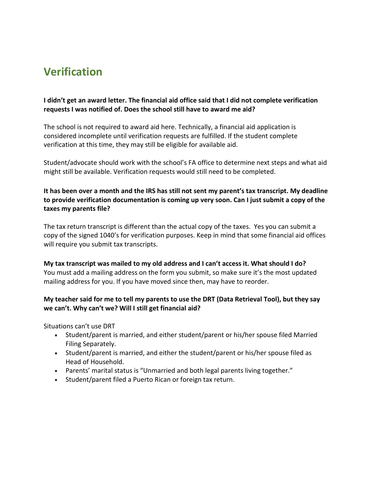# **Verification**

### **I didn't get an award letter. The financial aid office said that I did not complete verification requests I was notified of. Does the school still have to award me aid?**

The school is not required to award aid here. Technically, a financial aid application is considered incomplete until verification requests are fulfilled. If the student complete verification at this time, they may still be eligible for available aid.

Student/advocate should work with the school's FA office to determine next steps and what aid might still be available. Verification requests would still need to be completed.

### **It has been over a month and the IRS has still not sent my parent's tax transcript. My deadline to provide verification documentation is coming up very soon. Can I just submit a copy of the taxes my parents file?**

The tax return transcript is different than the actual copy of the taxes. Yes you can submit a copy of the signed 1040's for verification purposes. Keep in mind that some financial aid offices will require you submit tax transcripts.

#### **My tax transcript was mailed to my old address and I can't access it. What should I do?** You must add a mailing address on the form you submit, so make sure it's the most updated mailing address for you. If you have moved since then, may have to reorder.

#### **My teacher said for me to tell my parents to use the DRT (Data Retrieval Tool), but they say we can't. Why can't we? Will I still get financial aid?**

Situations can't use DRT

- Student/parent is married, and either student/parent or his/her spouse filed Married Filing Separately.
- Student/parent is married, and either the student/parent or his/her spouse filed as Head of Household.
- Parents' marital status is "Unmarried and both legal parents living together."
- Student/parent filed a Puerto Rican or foreign tax return.